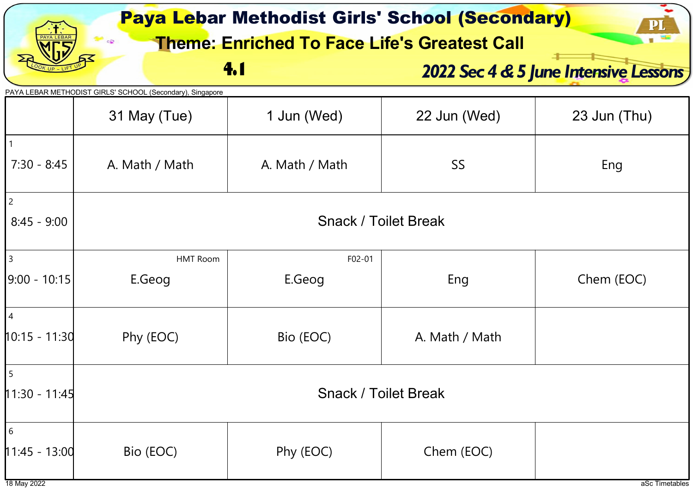| <b>Paya Lebar Methodist Girls' School (Secondary)</b><br><b>Theme: Enriched To Face Life's Greatest Call</b> |                                                                           |                             |                                       |                |  |  |
|--------------------------------------------------------------------------------------------------------------|---------------------------------------------------------------------------|-----------------------------|---------------------------------------|----------------|--|--|
|                                                                                                              |                                                                           | 4.1                         | 2022 Sec 4 & 5 June Intensive Lessons |                |  |  |
|                                                                                                              | PAYA LEBAR METHODIST GIRLS' SCHOOL (Secondary), Singapore<br>31 May (Tue) | 1 Jun (Wed)                 | 22 Jun (Wed)                          | 23 Jun (Thu)   |  |  |
| $7:30 - 8:45$                                                                                                | A. Math / Math                                                            | A. Math / Math              | <b>SS</b>                             | Eng            |  |  |
| $\vert$ 2<br>$8:45 - 9:00$                                                                                   |                                                                           | <b>Snack / Toilet Break</b> |                                       |                |  |  |
| 3<br>9:00 - 10:15                                                                                            | <b>HMT Room</b><br>E.Geog                                                 | F02-01<br>E.Geog            | Eng                                   |                |  |  |
| $\vert 4$<br>$10:15 - 11:30$                                                                                 | Phy (EOC)                                                                 | Bio (EOC)                   | A. Math / Math                        |                |  |  |
| $11:30 - 11:45$                                                                                              | <b>Snack / Toilet Break</b>                                               |                             |                                       |                |  |  |
| 6<br>$11:45 - 13:00$<br>18 May 2022                                                                          | Bio (EOC)                                                                 | Phy (EOC)                   | Chem (EOC)                            | aSc Timetables |  |  |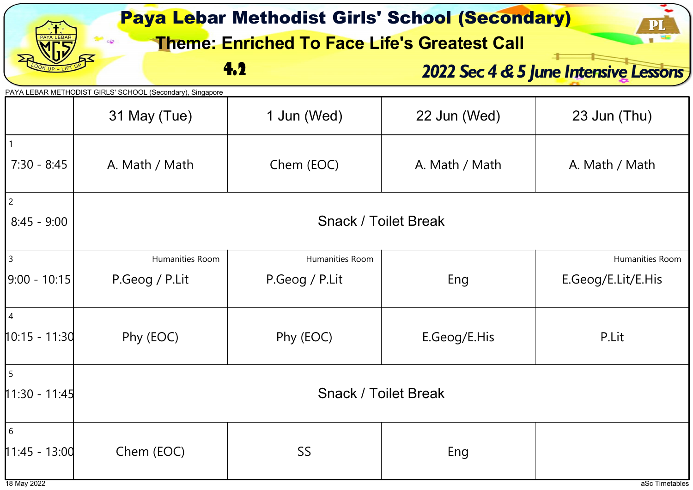| <b>Paya Lebar Methodist Girls' School (Secondary)</b><br>P<br><b>Theme: Enriched To Face Life's Greatest Call</b> |                                                                           |                 |                |                                       |  |
|-------------------------------------------------------------------------------------------------------------------|---------------------------------------------------------------------------|-----------------|----------------|---------------------------------------|--|
|                                                                                                                   |                                                                           | 4.2             |                | 2022 Sec 4 & 5 June Intensive Lessons |  |
|                                                                                                                   | PAYA LEBAR METHODIST GIRLS' SCHOOL (Secondary), Singapore<br>31 May (Tue) | 1 Jun (Wed)     | 22 Jun (Wed)   | 23 Jun (Thu)                          |  |
| $7:30 - 8:45$                                                                                                     | A. Math / Math                                                            | Chem (EOC)      | A. Math / Math | A. Math / Math                        |  |
| $\overline{c}$<br>$8:45 - 9:00$                                                                                   | <b>Snack / Toilet Break</b>                                               |                 |                |                                       |  |
| $\overline{3}$                                                                                                    | Humanities Room                                                           | Humanities Room |                | Humanities Room                       |  |
| 9:00 - 10:15                                                                                                      | P.Geog / P.Lit                                                            | P.Geog / P.Lit  | Eng            | E.Geog/E.Lit/E.His                    |  |
| 4<br>$10:15 - 11:30$                                                                                              | Phy (EOC)                                                                 | Phy (EOC)       | E.Geog/E.His   | P.Lit                                 |  |
| $\overline{5}$<br>11:30 - 11:45                                                                                   | <b>Snack / Toilet Break</b>                                               |                 |                |                                       |  |
| 6<br>$11:45 - 13:00$<br>18 May 2022                                                                               | Chem (EOC)                                                                | SS              | Eng            | aSc Timetables                        |  |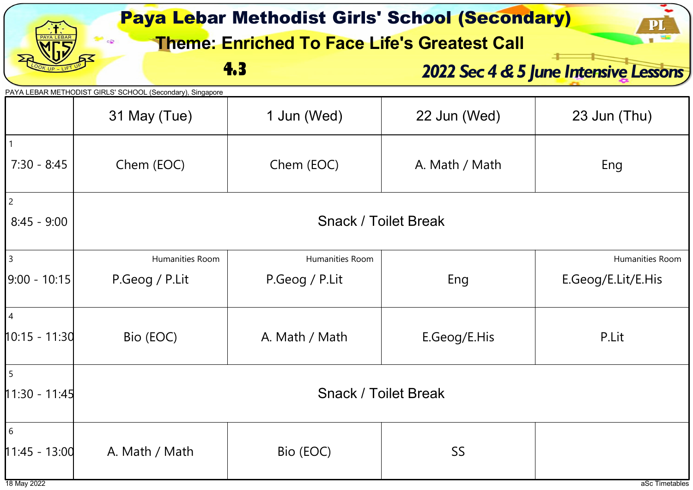|                                     | <b>Paya Lebar Methodist Girls' School (Secondary)</b><br><b>Theme: Enriched To Face Life's Greatest Call</b> |                 |                |                                       |  |  |
|-------------------------------------|--------------------------------------------------------------------------------------------------------------|-----------------|----------------|---------------------------------------|--|--|
|                                     |                                                                                                              | 4.3             |                | 2022 Sec 4 & 5 June Intensive Lessons |  |  |
|                                     | PAYA LEBAR METHODIST GIRLS' SCHOOL (Secondary), Singapore<br>31 May (Tue)                                    | 1 Jun (Wed)     | 22 Jun (Wed)   | 23 Jun (Thu)                          |  |  |
| $7:30 - 8:45$                       | Chem (EOC)                                                                                                   | Chem (EOC)      | A. Math / Math | Eng                                   |  |  |
| $\overline{c}$<br>$8:45 - 9:00$     | <b>Snack / Toilet Break</b>                                                                                  |                 |                |                                       |  |  |
| $\overline{3}$                      | Humanities Room                                                                                              | Humanities Room |                | Humanities Room                       |  |  |
| 9:00 - 10:15                        | P.Geog / P.Lit                                                                                               | P.Geog / P.Lit  | Eng            | E.Geog/E.Lit/E.His                    |  |  |
| 4<br>$10:15 - 11:30$                | Bio (EOC)                                                                                                    | A. Math / Math  | E.Geog/E.His   | P.Lit                                 |  |  |
| $\overline{5}$<br>$11:30 - 11:45$   | <b>Snack / Toilet Break</b>                                                                                  |                 |                |                                       |  |  |
| 6<br>$11:45 - 13:00$<br>18 May 2022 | A. Math / Math                                                                                               | Bio (EOC)       | <b>SS</b>      | aSc Timetables                        |  |  |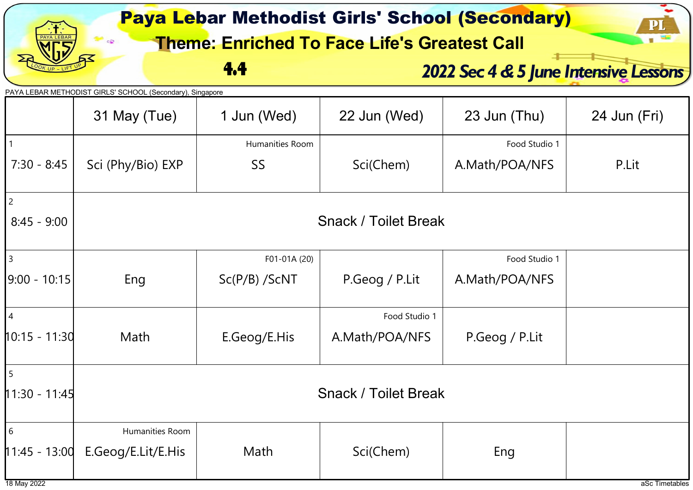|                 | <b>Paya Lebar Methodist Girls' School (Secondary)</b><br>$\mathbf{p}_\mathbf{l}$<br><b>Theme: Enriched To Face Life's Greatest Call</b> |                 |                |                                       |              |  |
|-----------------|-----------------------------------------------------------------------------------------------------------------------------------------|-----------------|----------------|---------------------------------------|--------------|--|
|                 |                                                                                                                                         | 4.4             |                | 2022 Sec 4 & 5 June Intensive Lessons |              |  |
|                 | PAYA LEBAR METHODIST GIRLS' SCHOOL (Secondary), Singapore                                                                               |                 |                |                                       |              |  |
|                 | 31 May (Tue)                                                                                                                            | 1 Jun (Wed)     | 22 Jun (Wed)   | 23 Jun (Thu)                          | 24 Jun (Fri) |  |
|                 |                                                                                                                                         | Humanities Room |                | Food Studio 1                         |              |  |
| $7:30 - 8:45$   | Sci (Phy/Bio) EXP                                                                                                                       | SS              | Sci(Chem)      | A.Math/POA/NFS                        | P.Lit        |  |
| $\overline{c}$  |                                                                                                                                         |                 |                |                                       |              |  |
| $8:45 - 9:00$   | <b>Snack / Toilet Break</b>                                                                                                             |                 |                |                                       |              |  |
| $\vert$ 3       |                                                                                                                                         | F01-01A (20)    |                | Food Studio 1                         |              |  |
| 9:00 - 10:15    | Eng                                                                                                                                     | $Sc(P/B)$ /ScNT | P.Geog / P.Lit | A.Math/POA/NFS                        |              |  |
| $\overline{4}$  |                                                                                                                                         |                 | Food Studio 1  |                                       |              |  |
| $10:15 - 11:30$ | Math                                                                                                                                    | E.Geog/E.His    | A.Math/POA/NFS | P.Geog / P.Lit                        |              |  |
|                 |                                                                                                                                         |                 |                |                                       |              |  |
| $11:30 - 11:45$ | <b>Snack / Toilet Break</b>                                                                                                             |                 |                |                                       |              |  |
| 6               | Humanities Room                                                                                                                         |                 |                |                                       |              |  |
| $11:45 - 13:00$ | E.Geog/E.Lit/E.His                                                                                                                      | Math            | Sci(Chem)      | Eng                                   |              |  |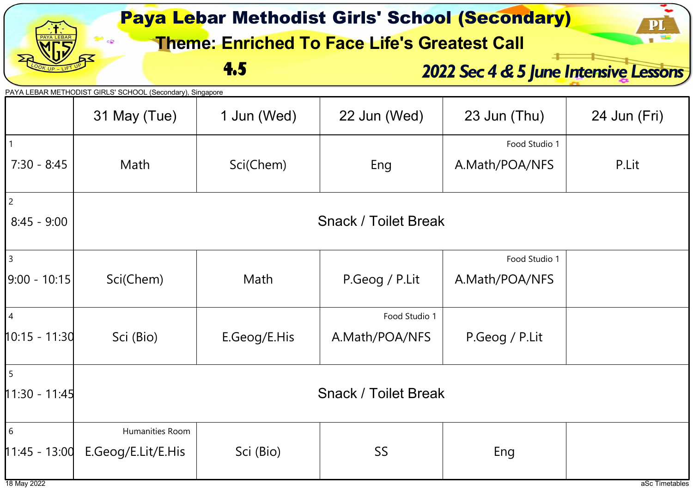| <b>Paya Lebar Methodist Girls' School (Secondary)</b><br>$\bf{P}$<br><b>Theme: Enriched To Face Life's Greatest Call</b> |                                                                           |              |                                 |                                 |                |
|--------------------------------------------------------------------------------------------------------------------------|---------------------------------------------------------------------------|--------------|---------------------------------|---------------------------------|----------------|
| 4.5<br>2022 Sec 4 & 5 June Intensive Lessons                                                                             |                                                                           |              |                                 |                                 |                |
|                                                                                                                          | PAYA LEBAR METHODIST GIRLS' SCHOOL (Secondary), Singapore<br>31 May (Tue) | 1 Jun (Wed)  | 22 Jun (Wed)                    | 23 Jun (Thu)                    | 24 Jun (Fri)   |
| $7:30 - 8:45$                                                                                                            | Math                                                                      | Sci(Chem)    | Eng                             | Food Studio 1<br>A.Math/POA/NFS | P.Lit          |
| $\overline{c}$<br>$8:45 - 9:00$                                                                                          | <b>Snack / Toilet Break</b>                                               |              |                                 |                                 |                |
| $\mathbf{3}$<br> 9:00 - 10:15                                                                                            | Sci(Chem)                                                                 | Math         | P.Geog / P.Lit                  | Food Studio 1<br>A.Math/POA/NFS |                |
| $\vert$ 4<br>10:15 - 11:30                                                                                               | Sci (Bio)                                                                 | E.Geog/E.His | Food Studio 1<br>A.Math/POA/NFS | P.Geog / P.Lit                  |                |
| 5<br>$11:30 - 11:45$                                                                                                     | <b>Snack / Toilet Break</b>                                               |              |                                 |                                 |                |
| $6\overline{6}$<br>$11:45 - 13:00$<br>18 May 2022                                                                        | Humanities Room<br>E.Geog/E.Lit/E.His                                     | Sci (Bio)    | SS                              | Eng                             | aSc Timetables |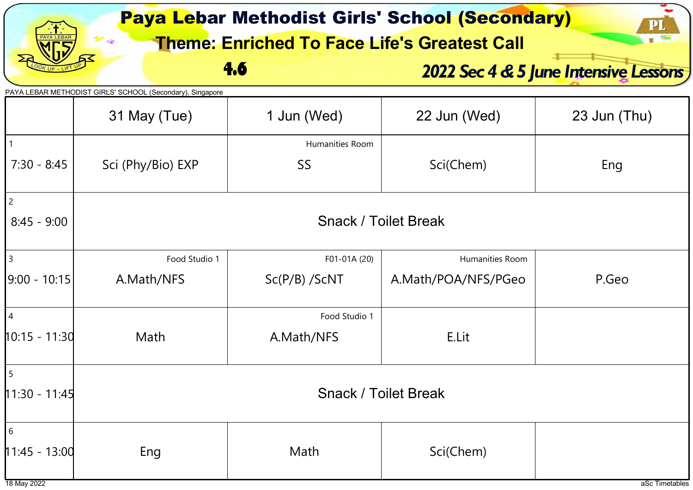|                                     |                                                                           |                                 | <b>Paya Lebar Methodist Girls' School (Secondary)</b><br><b>Theme: Enriched To Face Life's Greatest Call</b> | P                                     |  |
|-------------------------------------|---------------------------------------------------------------------------|---------------------------------|--------------------------------------------------------------------------------------------------------------|---------------------------------------|--|
|                                     | 4.6                                                                       |                                 |                                                                                                              | 2022 Sec 4 & 5 June Intensive Lessons |  |
|                                     | PAYA LEBAR METHODIST GIRLS' SCHOOL (Secondary), Singapore<br>31 May (Tue) | 1 Jun (Wed)                     | 22 Jun (Wed)                                                                                                 | 23 Jun (Thu)                          |  |
| $7:30 - 8:45$                       | Sci (Phy/Bio) EXP                                                         | Humanities Room<br>SS           | Sci(Chem)                                                                                                    | Eng                                   |  |
| $\overline{2}$<br>$8:45 - 9:00$     | <b>Snack / Toilet Break</b>                                               |                                 |                                                                                                              |                                       |  |
| $\vert$ 3<br>9:00 - 10:15           | Food Studio 1<br>A.Math/NFS                                               | F01-01A (20)<br>$Sc(P/B)$ /ScNT | Humanities Room<br>A.Math/POA/NFS/PGeo                                                                       | P.Geo                                 |  |
| $\overline{4}$<br>10:15 - 11:30     | Math                                                                      | Food Studio 1<br>A.Math/NFS     | E.Lit                                                                                                        |                                       |  |
| $\mathsf{I}_5$<br>$11:30 - 11:45$   | <b>Snack / Toilet Break</b>                                               |                                 |                                                                                                              |                                       |  |
| 6<br>$11:45 - 13:00$<br>18 May 2022 | Eng                                                                       | Math                            | Sci(Chem)                                                                                                    | aSc Timetables                        |  |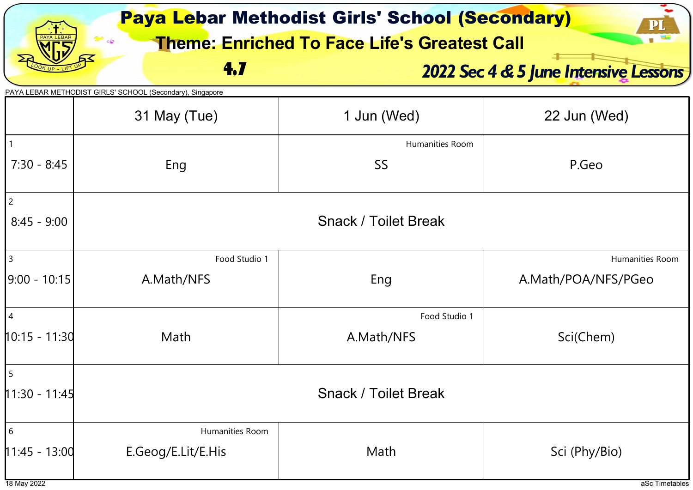|                                          | <b>Paya Lebar Methodist Girls' School (Secondary)</b><br>${\bf P}$<br><b>Theme: Enriched To Face Life's Greatest Call</b> |                              |                                       |  |  |  |
|------------------------------------------|---------------------------------------------------------------------------------------------------------------------------|------------------------------|---------------------------------------|--|--|--|
|                                          | 4.7                                                                                                                       |                              | 2022 Sec 4 & 5 June Intensive Lessons |  |  |  |
|                                          | PAYA LEBAR METHODIST GIRLS' SCHOOL (Secondary), Singapore<br>31 May (Tue)                                                 | 1 Jun (Wed)                  | 22 Jun (Wed)                          |  |  |  |
| $7:30 - 8:45$                            | Eng                                                                                                                       | Humanities Room<br><b>SS</b> | P.Geo                                 |  |  |  |
| $\overline{c}$<br>$8:45 - 9:00$          |                                                                                                                           | <b>Snack / Toilet Break</b>  |                                       |  |  |  |
| $\overline{3}$                           | Food Studio 1                                                                                                             |                              | Humanities Room                       |  |  |  |
| $ 9:00 - 10:15 $                         | A.Math/NFS                                                                                                                | Eng                          | A.Math/POA/NFS/PGeo                   |  |  |  |
|                                          |                                                                                                                           | Food Studio 1                |                                       |  |  |  |
| $10:15 - 11:30$                          | Math                                                                                                                      | A.Math/NFS                   | Sci(Chem)                             |  |  |  |
| $\begin{array}{c} \boxed{5} \end{array}$ |                                                                                                                           |                              |                                       |  |  |  |
| $11:30 - 11:45$                          | <b>Snack / Toilet Break</b>                                                                                               |                              |                                       |  |  |  |
| 6                                        | Humanities Room                                                                                                           |                              |                                       |  |  |  |
| $11:45 - 13:00$                          | E.Geog/E.Lit/E.His                                                                                                        | Math                         | Sci (Phy/Bio)                         |  |  |  |
| 18 May 2022                              |                                                                                                                           |                              | aSc Timetables                        |  |  |  |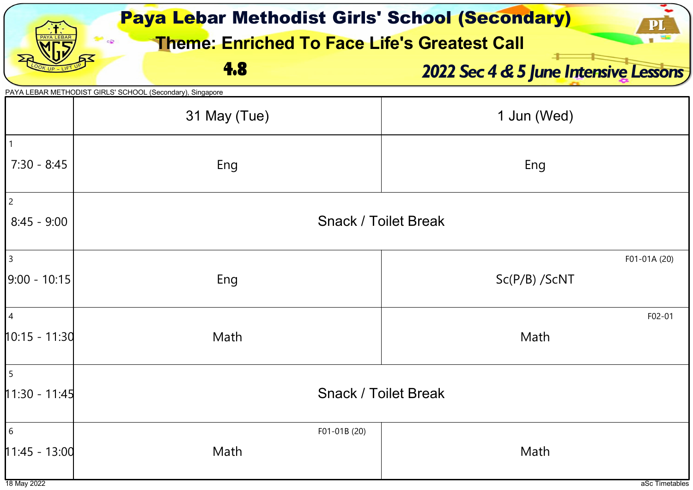| <b>Paya Lebar Methodist Girls' School (Secondary)</b> |                                                           |                                       |  |  |  |  |  |
|-------------------------------------------------------|-----------------------------------------------------------|---------------------------------------|--|--|--|--|--|
|                                                       | <b>Theme: Enriched To Face Life's Greatest Call</b>       |                                       |  |  |  |  |  |
|                                                       | 4.8                                                       | 2022 Sec 4 & 5 June Intensive Lessons |  |  |  |  |  |
|                                                       | PAYA LEBAR METHODIST GIRLS' SCHOOL (Secondary), Singapore |                                       |  |  |  |  |  |
|                                                       | 31 May (Tue)                                              | 1 Jun (Wed)                           |  |  |  |  |  |
|                                                       |                                                           |                                       |  |  |  |  |  |
| $7:30 - 8:45$                                         | Eng                                                       | Eng                                   |  |  |  |  |  |
| $\overline{c}$                                        |                                                           |                                       |  |  |  |  |  |
| $8:45 - 9:00$                                         |                                                           | <b>Snack / Toilet Break</b>           |  |  |  |  |  |
| 3                                                     |                                                           | F01-01A (20)                          |  |  |  |  |  |
| $ 9:00 - 10:15 $                                      | Eng                                                       | $Sc(P/B)$ /ScNT                       |  |  |  |  |  |
|                                                       |                                                           |                                       |  |  |  |  |  |
| $\overline{4}$                                        |                                                           | F02-01                                |  |  |  |  |  |
| $10:15 - 11:30$                                       | Math                                                      | Math                                  |  |  |  |  |  |
| 15                                                    |                                                           |                                       |  |  |  |  |  |
| $11:30 - 11:45$                                       | <b>Snack / Toilet Break</b>                               |                                       |  |  |  |  |  |
| $\sqrt{6}$                                            | F01-01B (20)                                              |                                       |  |  |  |  |  |
| $11:45 - 13:00$                                       | Math                                                      | Math                                  |  |  |  |  |  |
| 18 May 2022                                           |                                                           | aSc Timetables                        |  |  |  |  |  |